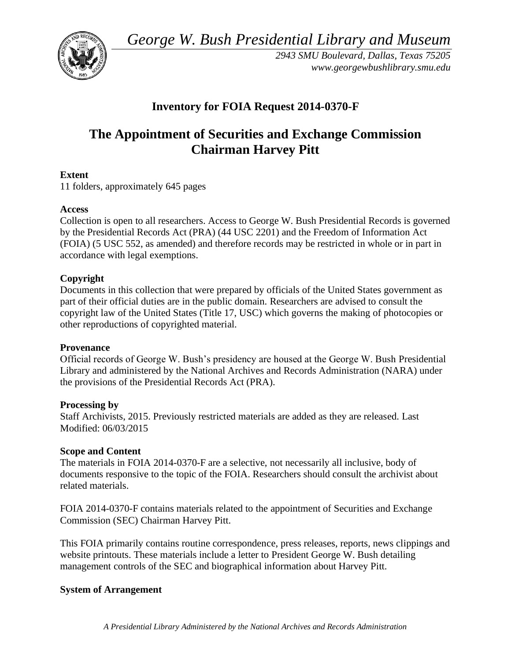*George W. Bush Presidential Library and Museum* 



*2943 SMU Boulevard, Dallas, Texas 75205 <www.georgewbushlibrary.smu.edu>* 

## **Inventory for FOIA Request 2014-0370-F**

# **The Appointment of Securities and Exchange Commission Chairman Harvey Pitt**

#### **Extent**

11 folders, approximately 645 pages

#### **Access**

Collection is open to all researchers. Access to George W. Bush Presidential Records is governed by the Presidential Records Act (PRA) (44 USC 2201) and the Freedom of Information Act (FOIA) (5 USC 552, as amended) and therefore records may be restricted in whole or in part in accordance with legal exemptions.

#### **Copyright**

 Documents in this collection that were prepared by officials of the United States government as part of their official duties are in the public domain. Researchers are advised to consult the copyright law of the United States (Title 17, USC) which governs the making of photocopies or other reproductions of copyrighted material.

#### **Provenance**

Official records of George W. Bush's presidency are housed at the George W. Bush Presidential Library and administered by the National Archives and Records Administration (NARA) under the provisions of the Presidential Records Act (PRA).

#### **Processing by**

Staff Archivists, 2015. Previously restricted materials are added as they are released. Last Modified: 06/03/2015

#### **Scope and Content**

 documents responsive to the topic of the FOIA. Researchers should consult the archivist about The materials in FOIA 2014-0370-F are a selective, not necessarily all inclusive, body of related materials.

FOIA 2014-0370-F contains materials related to the appointment of Securities and Exchange Commission (SEC) Chairman Harvey Pitt.

This FOIA primarily contains routine correspondence, press releases, reports, news clippings and website printouts. These materials include a letter to President George W. Bush detailing management controls of the SEC and biographical information about Harvey Pitt.

### **System of Arrangement**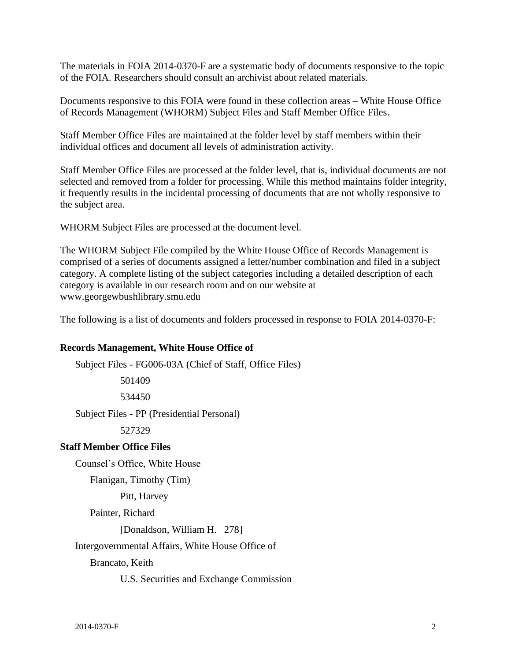The materials in FOIA 2014-0370-F are a systematic body of documents responsive to the topic of the FOIA. Researchers should consult an archivist about related materials.

Documents responsive to this FOIA were found in these collection areas – White House Office of Records Management (WHORM) Subject Files and Staff Member Office Files.

 Staff Member Office Files are maintained at the folder level by staff members within their individual offices and document all levels of administration activity.

Staff Member Office Files are processed at the folder level, that is, individual documents are not selected and removed from a folder for processing. While this method maintains folder integrity, it frequently results in the incidental processing of documents that are not wholly responsive to the subject area.

WHORM Subject Files are processed at the document level.

 The WHORM Subject File compiled by the White House Office of Records Management is comprised of a series of documents assigned a letter/number combination and filed in a subject category. A complete listing of the subject categories including a detailed description of each category is available in our research room and on our website at <www.georgewbushlibrary.smu.edu>

The following is a list of documents and folders processed in response to FOIA 2014-0370-F:

#### **Records Management, White House Office of**

 Subject Files - FG006-03A (Chief of Staff, Office Files) Subject Files - PP (Presidential Personal) 501409 534450 527329 **Staff Member Office Files**  Counsel's Office, White House Flanigan, Timothy (Tim) Pitt, Harvey Painter, Richard [Donaldson, William H. 278] Intergovernmental Affairs, White House Office of Brancato, Keith U.S. Securities and Exchange Commission